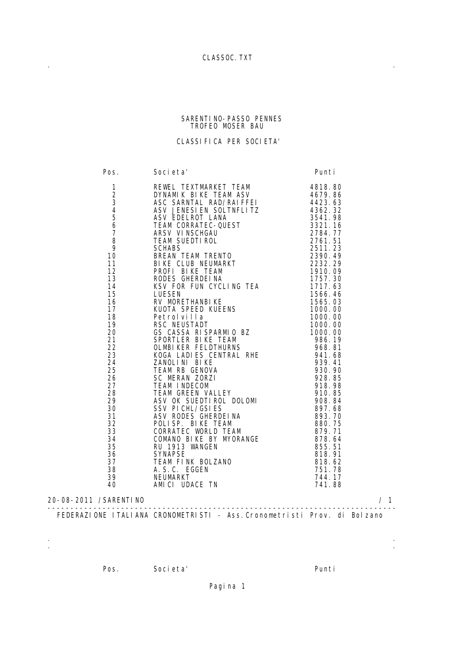## SARENTI NO-PASSO PENNES TROFEO MOSER BAU

## CLASSIFICA PER SOCIETA'

| Societa' Puni<br>REWELT TEAM ASY 4818.<br>BORWAMIK BIKE TEAM ASY 4818.80<br>ASY SARNTAL RAD/RAIFFEIT 4423.63<br>ASY JENESIEN RAD/RAIFFEIT 4423.63<br>ASY JENESIEN SOLINFLITZ 4362.32<br>ASY JENESIEN SOLINFLITZ 4362.32<br>TEAM CORRATEC-QUE |
|----------------------------------------------------------------------------------------------------------------------------------------------------------------------------------------------------------------------------------------------|
| 20-08-2011 / SARENTI NO                                                                                                                                                                                                                      |

 ---------------------------------------------------------------------------- FEDERAZIONE ITALIANA CRONOMETRISTI - Ass.Cronometristi Prov. di Bolzano

 . . . .

Pos. Societa' Punti